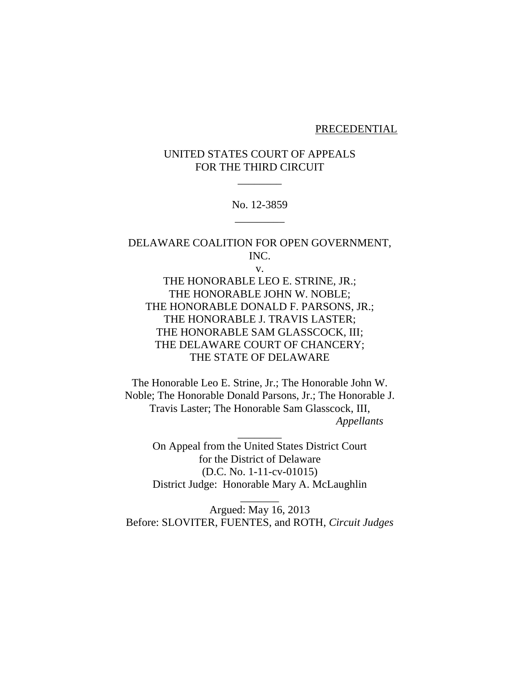#### PRECEDENTIAL

# UNITED STATES COURT OF APPEALS FOR THE THIRD CIRCUIT

 $\overline{\phantom{a}}$ 

No. 12-3859 \_\_\_\_\_\_\_\_\_

DELAWARE COALITION FOR OPEN GOVERNMENT, INC.

v.

THE HONORABLE LEO E. STRINE, JR.; THE HONORABLE JOHN W. NOBLE; THE HONORABLE DONALD F. PARSONS, JR.; THE HONORABLE J. TRAVIS LASTER; THE HONORABLE SAM GLASSCOCK, III; THE DELAWARE COURT OF CHANCERY; THE STATE OF DELAWARE

The Honorable Leo E. Strine, Jr.; The Honorable John W. Noble; The Honorable Donald Parsons, Jr.; The Honorable J. Travis Laster; The Honorable Sam Glasscock, III,  *Appellants*

On Appeal from the United States District Court for the District of Delaware (D.C. No. 1-11-cv-01015) District Judge: Honorable Mary A. McLaughlin

 $\overline{\phantom{a}}$ 

Argued: May 16, 2013 Before: SLOVITER, FUENTES, and ROTH, *Circuit Judges*

 $\overline{\phantom{a}}$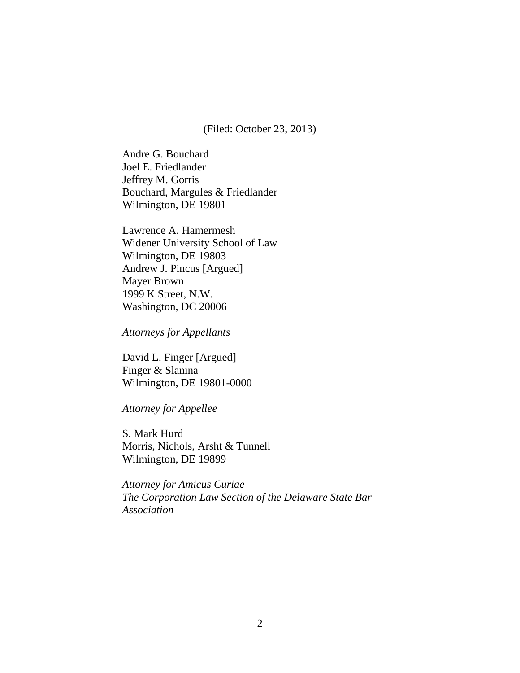(Filed: October 23, 2013)

Andre G. Bouchard Joel E. Friedlander Jeffrey M. Gorris Bouchard, Margules & Friedlander Wilmington, DE 19801

Lawrence A. Hamermesh Widener University School of Law Wilmington, DE 19803 Andrew J. Pincus [Argued] Mayer Brown 1999 K Street, N.W. Washington, DC 20006

*Attorneys for Appellants*

David L. Finger [Argued] Finger & Slanina Wilmington, DE 19801-0000

*Attorney for Appellee*

S. Mark Hurd Morris, Nichols, Arsht & Tunnell Wilmington, DE 19899

*Attorney for Amicus Curiae The Corporation Law Section of the Delaware State Bar Association*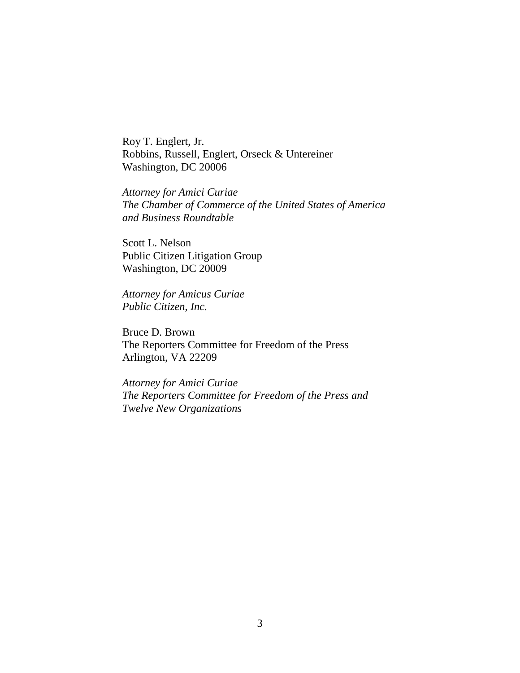Roy T. Englert, Jr. Robbins, Russell, Englert, Orseck & Untereiner Washington, DC 20006

*Attorney for Amici Curiae The Chamber of Commerce of the United States of America and Business Roundtable*

Scott L. Nelson Public Citizen Litigation Group Washington, DC 20009

*Attorney for Amicus Curiae Public Citizen, Inc.*

Bruce D. Brown The Reporters Committee for Freedom of the Press Arlington, VA 22209

*Attorney for Amici Curiae The Reporters Committee for Freedom of the Press and Twelve New Organizations*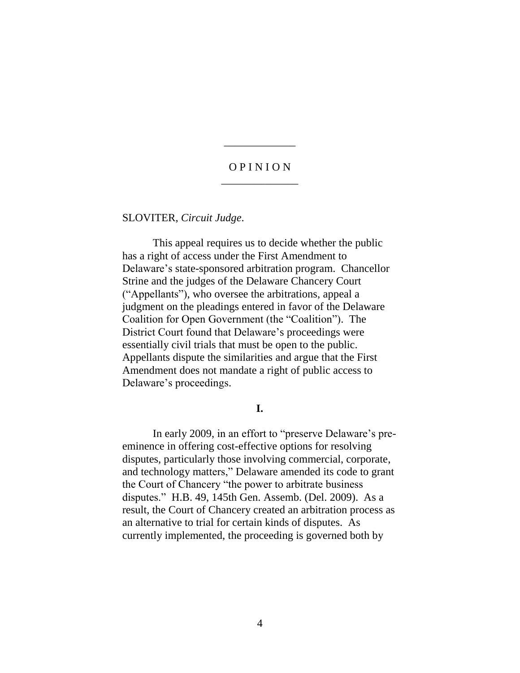## O P I N I O N \_\_\_\_\_\_\_\_\_\_\_\_\_\_

\_\_\_\_\_\_\_\_\_\_\_\_\_

SLOVITER, *Circuit Judge*.

This appeal requires us to decide whether the public has a right of access under the First Amendment to Delaware's state-sponsored arbitration program. Chancellor Strine and the judges of the Delaware Chancery Court ("Appellants"), who oversee the arbitrations, appeal a judgment on the pleadings entered in favor of the Delaware Coalition for Open Government (the "Coalition"). The District Court found that Delaware's proceedings were essentially civil trials that must be open to the public. Appellants dispute the similarities and argue that the First Amendment does not mandate a right of public access to Delaware's proceedings.

**I.**

In early 2009, in an effort to "preserve Delaware's preeminence in offering cost-effective options for resolving disputes, particularly those involving commercial, corporate, and technology matters," Delaware amended its code to grant the Court of Chancery "the power to arbitrate business disputes." H.B. 49, 145th Gen. Assemb. (Del. 2009). As a result, the Court of Chancery created an arbitration process as an alternative to trial for certain kinds of disputes. As currently implemented, the proceeding is governed both by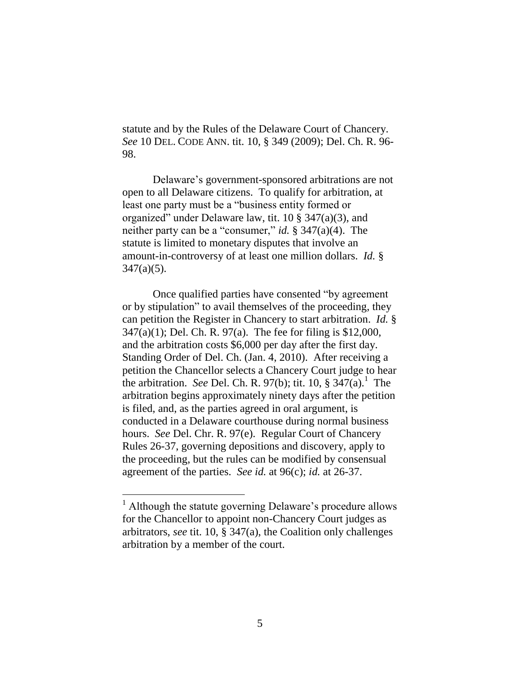statute and by the Rules of the Delaware Court of Chancery. *See* 10 DEL. CODE ANN. tit. 10, § 349 (2009); Del. Ch. R. 96- 98.

Delaware's government-sponsored arbitrations are not open to all Delaware citizens. To qualify for arbitration, at least one party must be a "business entity formed or organized" under Delaware law, tit. 10 § 347(a)(3), and neither party can be a "consumer," *id.* § 347(a)(4). The statute is limited to monetary disputes that involve an amount-in-controversy of at least one million dollars. *Id.* §  $347(a)(5)$ .

Once qualified parties have consented "by agreement or by stipulation" to avail themselves of the proceeding, they can petition the Register in Chancery to start arbitration. *Id.* § 347(a)(1); Del. Ch. R. 97(a). The fee for filing is \$12,000, and the arbitration costs \$6,000 per day after the first day. Standing Order of Del. Ch. (Jan. 4, 2010). After receiving a petition the Chancellor selects a Chancery Court judge to hear the arbitration. *See* Del. Ch. R. 97(b); tit. 10,  $\S 347(a)$ .<sup>1</sup> The arbitration begins approximately ninety days after the petition is filed, and, as the parties agreed in oral argument, is conducted in a Delaware courthouse during normal business hours. *See* Del. Chr. R. 97(e). Regular Court of Chancery Rules 26-37, governing depositions and discovery, apply to the proceeding, but the rules can be modified by consensual agreement of the parties. *See id.* at 96(c); *id.* at 26-37.

 $\overline{a}$ 

<sup>&</sup>lt;sup>1</sup> Although the statute governing Delaware's procedure allows for the Chancellor to appoint non-Chancery Court judges as arbitrators, *see* tit. 10, § 347(a), the Coalition only challenges arbitration by a member of the court.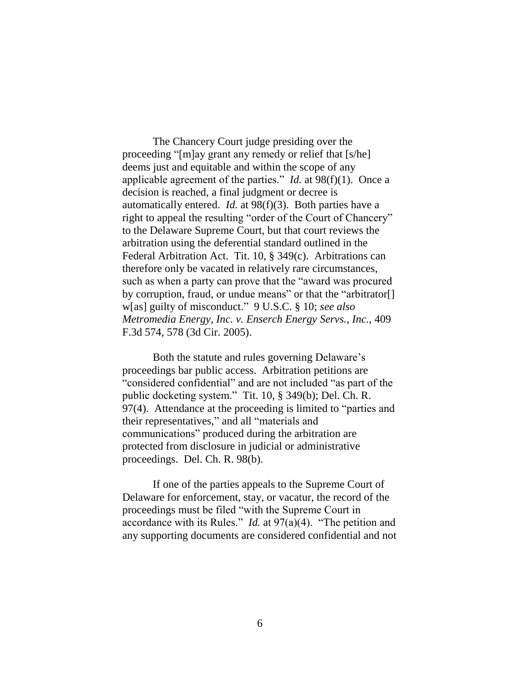The Chancery Court judge presiding over the proceeding "[m]ay grant any remedy or relief that [s/he] deems just and equitable and within the scope of any applicable agreement of the parties." *Id.* at 98(f)(1). Once a decision is reached, a final judgment or decree is automatically entered. *Id.* at 98(f)(3). Both parties have a right to appeal the resulting "order of the Court of Chancery" to the Delaware Supreme Court, but that court reviews the arbitration using the deferential standard outlined in the Federal Arbitration Act. Tit. 10, § 349(c). Arbitrations can therefore only be vacated in relatively rare circumstances, such as when a party can prove that the "award was procured by corruption, fraud, or undue means" or that the "arbitrator[] w[as] guilty of misconduct." 9 U.S.C. § 10; *see also Metromedia Energy, Inc. v. Enserch Energy Servs.*, *Inc.*, 409 F.3d 574, 578 (3d Cir. 2005).

Both the statute and rules governing Delaware's proceedings bar public access. Arbitration petitions are "considered confidential" and are not included "as part of the public docketing system." Tit. 10, § 349(b); Del. Ch. R. 97(4). Attendance at the proceeding is limited to "parties and their representatives," and all "materials and communications" produced during the arbitration are protected from disclosure in judicial or administrative proceedings. Del. Ch. R. 98(b).

If one of the parties appeals to the Supreme Court of Delaware for enforcement, stay, or vacatur, the record of the proceedings must be filed "with the Supreme Court in accordance with its Rules." *Id.* at 97(a)(4). "The petition and any supporting documents are considered confidential and not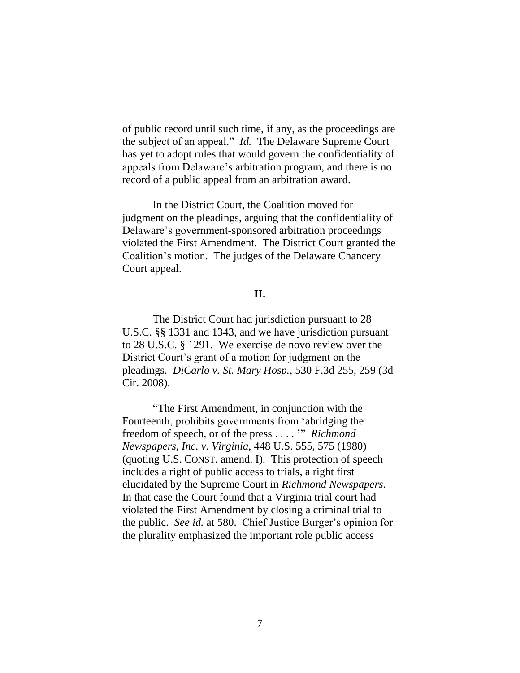of public record until such time, if any, as the proceedings are the subject of an appeal." *Id.* The Delaware Supreme Court has yet to adopt rules that would govern the confidentiality of appeals from Delaware's arbitration program, and there is no record of a public appeal from an arbitration award.

In the District Court, the Coalition moved for judgment on the pleadings, arguing that the confidentiality of Delaware's government-sponsored arbitration proceedings violated the First Amendment. The District Court granted the Coalition's motion. The judges of the Delaware Chancery Court appeal.

### **II.**

The District Court had jurisdiction pursuant to 28 U.S.C. §§ 1331 and 1343, and we have jurisdiction pursuant to 28 U.S.C. § 1291. We exercise de novo review over the District Court's grant of a motion for judgment on the pleadings. *DiCarlo v. St. Mary Hosp.*, 530 F.3d 255, 259 (3d Cir. 2008).

"The First Amendment, in conjunction with the Fourteenth, prohibits governments from 'abridging the freedom of speech, or of the press . . . . '" *Richmond Newspapers, Inc. v. Virginia*, 448 U.S. 555, 575 (1980) (quoting U.S. CONST. amend. I). This protection of speech includes a right of public access to trials, a right first elucidated by the Supreme Court in *Richmond Newspapers*. In that case the Court found that a Virginia trial court had violated the First Amendment by closing a criminal trial to the public. *See id.* at 580. Chief Justice Burger's opinion for the plurality emphasized the important role public access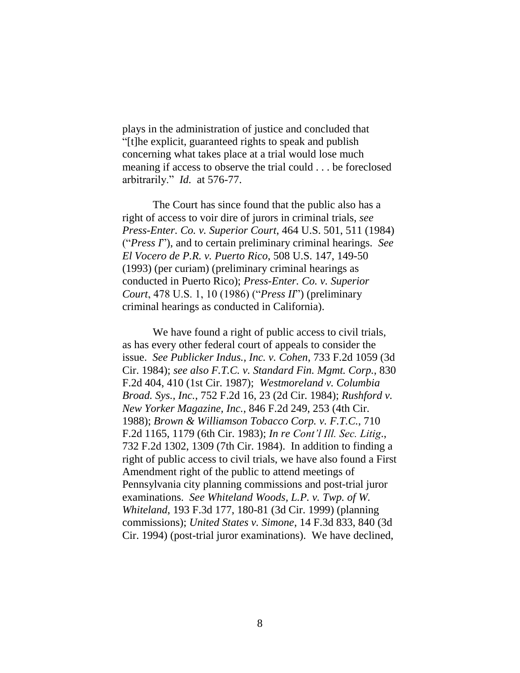plays in the administration of justice and concluded that "[t]he explicit, guaranteed rights to speak and publish concerning what takes place at a trial would lose much meaning if access to observe the trial could . . . be foreclosed arbitrarily." *Id.* at 576-77.

The Court has since found that the public also has a right of access to voir dire of jurors in criminal trials, *see Press-Enter. Co. v. Superior Court*, 464 U.S. 501, 511 (1984) ("*Press I*"), and to certain preliminary criminal hearings. *See El Vocero de P.R. v. Puerto Rico*, 508 U.S. 147, 149-50 (1993) (per curiam) (preliminary criminal hearings as conducted in Puerto Rico); *Press-Enter. Co. v. Superior Court*, 478 U.S. 1, 10 (1986) ("*Press II*") (preliminary criminal hearings as conducted in California).

We have found a right of public access to civil trials, as has every other federal court of appeals to consider the issue. *See Publicker Indus., Inc. v. Cohen*, 733 F.2d 1059 (3d Cir. 1984); *see also F.T.C. v. Standard Fin. Mgmt. Corp.*, 830 F.2d 404, 410 (1st Cir. 1987); *Westmoreland v. Columbia Broad. Sys., Inc.*, 752 F.2d 16, 23 (2d Cir. 1984); *Rushford v. New Yorker Magazine, Inc.*, 846 F.2d 249, 253 (4th Cir. 1988); *Brown & Williamson Tobacco Corp. v. F.T.C.*, 710 F.2d 1165, 1179 (6th Cir. 1983); *In re Cont'l Ill. Sec. Litig*., 732 F.2d 1302, 1309 (7th Cir. 1984). In addition to finding a right of public access to civil trials, we have also found a First Amendment right of the public to attend meetings of Pennsylvania city planning commissions and post-trial juror examinations. *See Whiteland Woods, L.P. v. Twp. of W. Whiteland*, 193 F.3d 177, 180-81 (3d Cir. 1999) (planning commissions); *United States v. Simone*, 14 F.3d 833, 840 (3d Cir. 1994) (post-trial juror examinations). We have declined,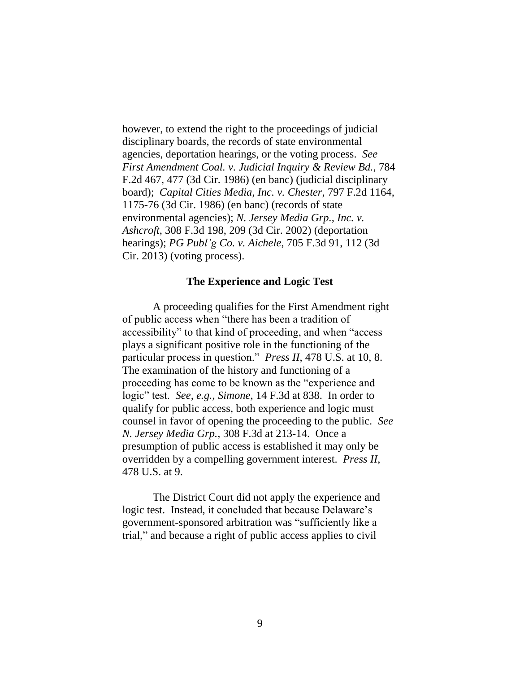however, to extend the right to the proceedings of judicial disciplinary boards, the records of state environmental agencies, deportation hearings, or the voting process. *See First Amendment Coal. v. Judicial Inquiry & Review Bd.*, 784 F.2d 467, 477 (3d Cir. 1986) (en banc) (judicial disciplinary board); *Capital Cities Media, Inc. v. Chester*, 797 F.2d 1164, 1175-76 (3d Cir. 1986) (en banc) (records of state environmental agencies); *N. Jersey Media Grp., Inc. v. Ashcroft*, 308 F.3d 198, 209 (3d Cir. 2002) (deportation hearings); *PG Publ'g Co. v. Aichele*, 705 F.3d 91, 112 (3d Cir. 2013) (voting process).

#### **The Experience and Logic Test**

A proceeding qualifies for the First Amendment right of public access when "there has been a tradition of accessibility" to that kind of proceeding, and when "access plays a significant positive role in the functioning of the particular process in question." *Press II*, 478 U.S. at 10, 8. The examination of the history and functioning of a proceeding has come to be known as the "experience and logic" test. *See, e.g., Simone*, 14 F.3d at 838. In order to qualify for public access, both experience and logic must counsel in favor of opening the proceeding to the public. *See N. Jersey Media Grp.,* 308 F.3d at 213-14. Once a presumption of public access is established it may only be overridden by a compelling government interest. *Press II*, 478 U.S. at 9.

The District Court did not apply the experience and logic test. Instead, it concluded that because Delaware's government-sponsored arbitration was "sufficiently like a trial," and because a right of public access applies to civil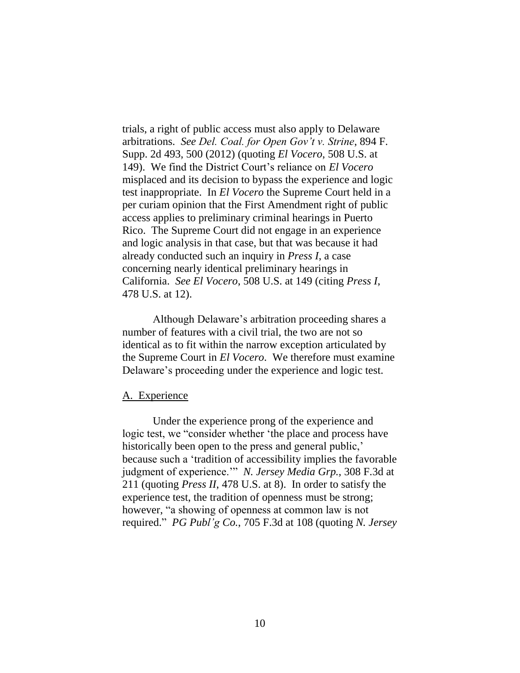trials, a right of public access must also apply to Delaware arbitrations. *See Del. Coal. for Open Gov't v. Strine*, 894 F. Supp. 2d 493, 500 (2012) (quoting *El Vocero*, 508 U.S. at 149). We find the District Court's reliance on *El Vocero* misplaced and its decision to bypass the experience and logic test inappropriate. In *El Vocero* the Supreme Court held in a per curiam opinion that the First Amendment right of public access applies to preliminary criminal hearings in Puerto Rico. The Supreme Court did not engage in an experience and logic analysis in that case, but that was because it had already conducted such an inquiry in *Press I*, a case concerning nearly identical preliminary hearings in California. *See El Vocero*, 508 U.S. at 149 (citing *Press I*, 478 U.S. at 12).

Although Delaware's arbitration proceeding shares a number of features with a civil trial, the two are not so identical as to fit within the narrow exception articulated by the Supreme Court in *El Vocero*. We therefore must examine Delaware's proceeding under the experience and logic test.

#### A. Experience

Under the experience prong of the experience and logic test, we "consider whether 'the place and process have historically been open to the press and general public, because such a 'tradition of accessibility implies the favorable judgment of experience.'" *N. Jersey Media Grp.,* 308 F.3d at 211 (quoting *Press II*, 478 U.S. at 8). In order to satisfy the experience test, the tradition of openness must be strong; however, "a showing of openness at common law is not required." *PG Publ'g Co.*, 705 F.3d at 108 (quoting *N. Jersey*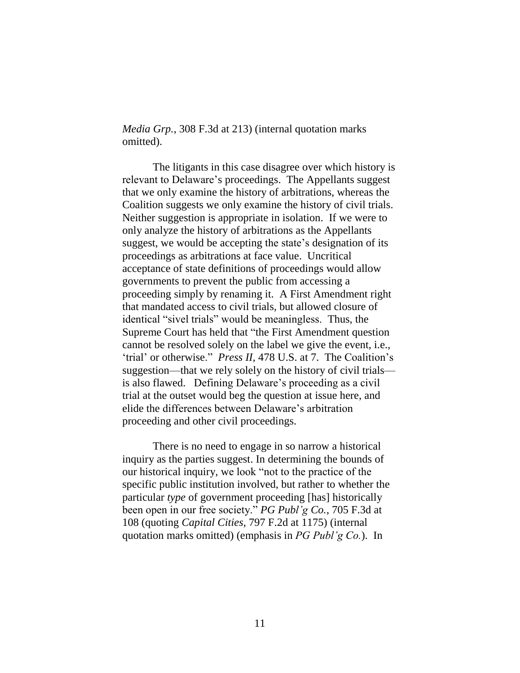*Media Grp.*, 308 F.3d at 213) (internal quotation marks omitted).

The litigants in this case disagree over which history is relevant to Delaware's proceedings. The Appellants suggest that we only examine the history of arbitrations, whereas the Coalition suggests we only examine the history of civil trials. Neither suggestion is appropriate in isolation. If we were to only analyze the history of arbitrations as the Appellants suggest, we would be accepting the state's designation of its proceedings as arbitrations at face value. Uncritical acceptance of state definitions of proceedings would allow governments to prevent the public from accessing a proceeding simply by renaming it. A First Amendment right that mandated access to civil trials, but allowed closure of identical "sivel trials" would be meaningless. Thus, the Supreme Court has held that "the First Amendment question cannot be resolved solely on the label we give the event, i.e., 'trial' or otherwise." *Press II*, 478 U.S. at 7. The Coalition's suggestion—that we rely solely on the history of civil trials is also flawed. Defining Delaware's proceeding as a civil trial at the outset would beg the question at issue here, and elide the differences between Delaware's arbitration proceeding and other civil proceedings.

There is no need to engage in so narrow a historical inquiry as the parties suggest. In determining the bounds of our historical inquiry, we look "not to the practice of the specific public institution involved, but rather to whether the particular *type* of government proceeding [has] historically been open in our free society." *PG Publ'g Co.*, 705 F.3d at 108 (quoting *Capital Cities*, 797 F.2d at 1175) (internal quotation marks omitted) (emphasis in *PG Publ'g Co.*). In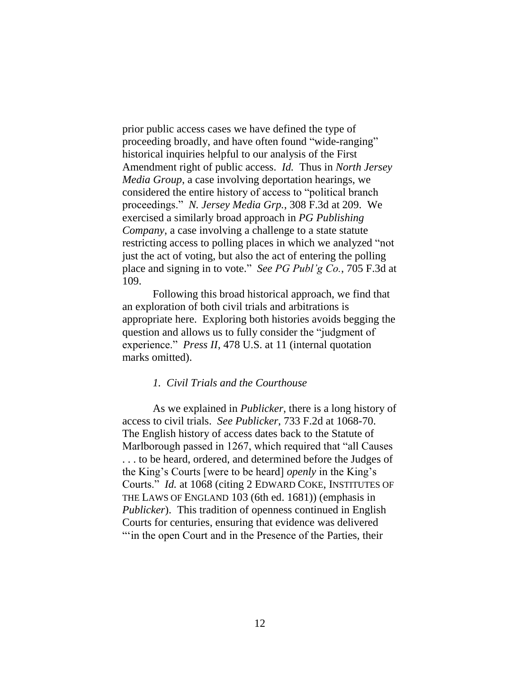prior public access cases we have defined the type of proceeding broadly, and have often found "wide-ranging" historical inquiries helpful to our analysis of the First Amendment right of public access. *Id.* Thus in *North Jersey Media Group*, a case involving deportation hearings, we considered the entire history of access to "political branch proceedings." *N. Jersey Media Grp.*, 308 F.3d at 209. We exercised a similarly broad approach in *PG Publishing Company*, a case involving a challenge to a state statute restricting access to polling places in which we analyzed "not just the act of voting, but also the act of entering the polling place and signing in to vote." *See PG Publ'g Co.*, 705 F.3d at 109.

Following this broad historical approach, we find that an exploration of both civil trials and arbitrations is appropriate here. Exploring both histories avoids begging the question and allows us to fully consider the "judgment of experience." *Press II*, 478 U.S. at 11 (internal quotation marks omitted).

### *1. Civil Trials and the Courthouse*

As we explained in *Publicker*, there is a long history of access to civil trials. *See Publicker*, 733 F.2d at 1068-70. The English history of access dates back to the Statute of Marlborough passed in 1267, which required that "all Causes . . . to be heard, ordered, and determined before the Judges of the King's Courts [were to be heard] *openly* in the King's Courts." *Id.* at 1068 (citing 2 EDWARD COKE, INSTITUTES OF THE LAWS OF ENGLAND 103 (6th ed. 1681)) (emphasis in *Publicker*). This tradition of openness continued in English Courts for centuries, ensuring that evidence was delivered "" in the open Court and in the Presence of the Parties, their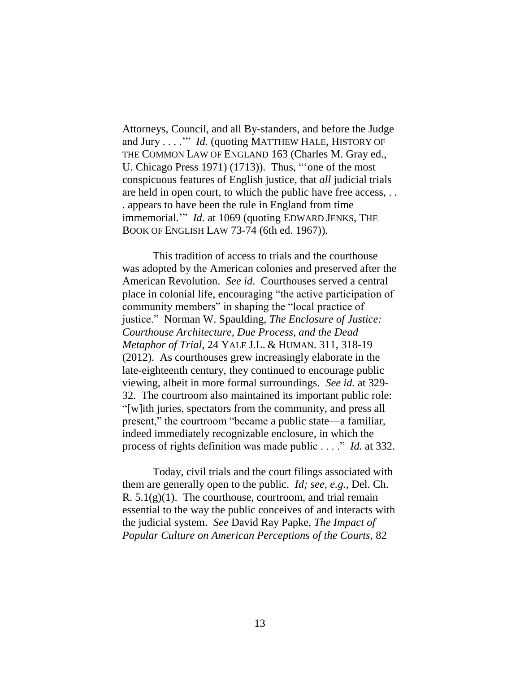Attorneys, Council, and all By-standers, and before the Judge and Jury . . . .'" *Id.* (quoting MATTHEW HALE, HISTORY OF THE COMMON LAW OF ENGLAND 163 (Charles M. Gray ed., U. Chicago Press 1971) (1713)). Thus, "'one of the most conspicuous features of English justice, that *all* judicial trials are held in open court, to which the public have free access, . . . appears to have been the rule in England from time immemorial.'" *Id.* at 1069 (quoting EDWARD JENKS, THE BOOK OF ENGLISH LAW 73-74 (6th ed. 1967)).

This tradition of access to trials and the courthouse was adopted by the American colonies and preserved after the American Revolution. *See id*. Courthouses served a central place in colonial life, encouraging "the active participation of community members" in shaping the "local practice of justice." Norman W. Spaulding, *The Enclosure of Justice: Courthouse Architecture, Due Process, and the Dead Metaphor of Trial*, 24 YALE J.L. & HUMAN. 311, 318-19 (2012). As courthouses grew increasingly elaborate in the late-eighteenth century, they continued to encourage public viewing, albeit in more formal surroundings. *See id.* at 329- 32. The courtroom also maintained its important public role: "[w]ith juries, spectators from the community, and press all present," the courtroom "became a public state—a familiar, indeed immediately recognizable enclosure, in which the process of rights definition was made public . . . ." *Id.* at 332.

Today, civil trials and the court filings associated with them are generally open to the public. *Id; see, e.g.*, Del. Ch. R.  $5.1(g)(1)$ . The courthouse, courtroom, and trial remain essential to the way the public conceives of and interacts with the judicial system. *See* David Ray Papke, *The Impact of Popular Culture on American Perceptions of the Courts*, 82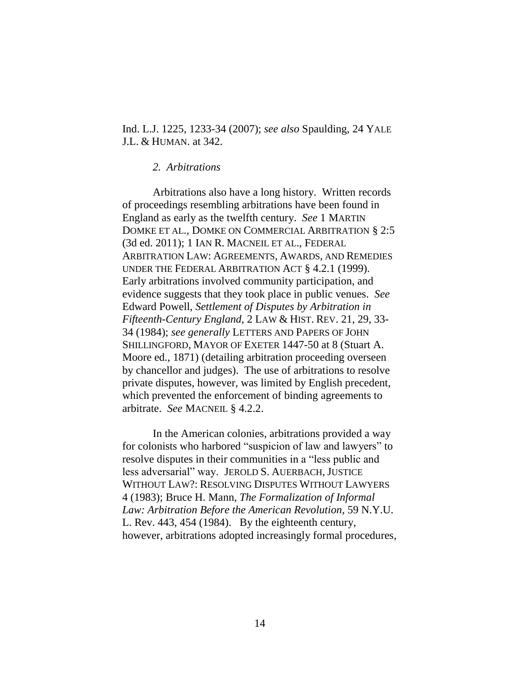Ind. L.J. 1225, 1233-34 (2007); *see also* Spaulding, 24 YALE J.L. & HUMAN. at 342.

#### *2. Arbitrations*

Arbitrations also have a long history. Written records of proceedings resembling arbitrations have been found in England as early as the twelfth century. *See* 1 MARTIN DOMKE ET AL., DOMKE ON COMMERCIAL ARBITRATION § 2:5 (3d ed. 2011); 1 IAN R. MACNEIL ET AL., FEDERAL ARBITRATION LAW: AGREEMENTS, AWARDS, AND REMEDIES UNDER THE FEDERAL ARBITRATION ACT § 4.2.1 (1999). Early arbitrations involved community participation, and evidence suggests that they took place in public venues. *See* Edward Powell, *Settlement of Disputes by Arbitration in Fifteenth-Century England*, 2 LAW & HIST. REV. 21, 29, 33- 34 (1984); *see generally* LETTERS AND PAPERS OF JOHN SHILLINGFORD, MAYOR OF EXETER 1447-50 at 8 (Stuart A. Moore ed., 1871) (detailing arbitration proceeding overseen by chancellor and judges). The use of arbitrations to resolve private disputes, however, was limited by English precedent, which prevented the enforcement of binding agreements to arbitrate. *See* MACNEIL § 4.2.2.

In the American colonies, arbitrations provided a way for colonists who harbored "suspicion of law and lawyers" to resolve disputes in their communities in a "less public and less adversarial" way. JEROLD S. AUERBACH,JUSTICE WITHOUT LAW?: RESOLVING DISPUTES WITHOUT LAWYERS 4 (1983); Bruce H. Mann, *The Formalization of Informal Law: Arbitration Before the American Revolution*, 59 N.Y.U. L. Rev. 443, 454 (1984). By the eighteenth century, however, arbitrations adopted increasingly formal procedures,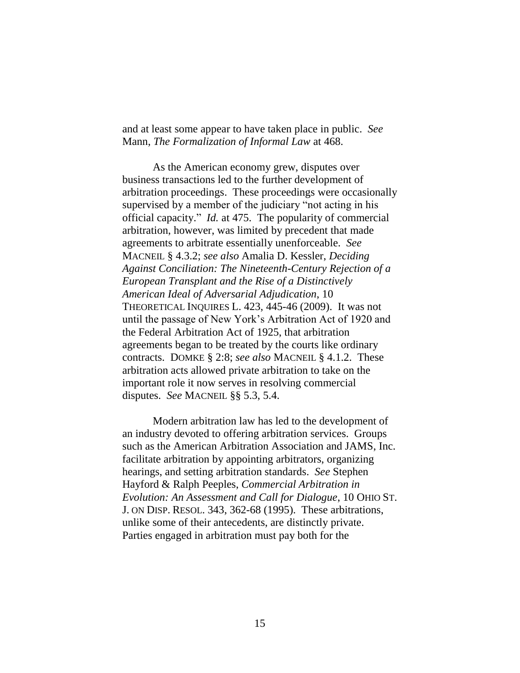and at least some appear to have taken place in public. *See* Mann, *The Formalization of Informal Law* at 468.

As the American economy grew, disputes over business transactions led to the further development of arbitration proceedings. These proceedings were occasionally supervised by a member of the judiciary "not acting in his official capacity." *Id.* at 475. The popularity of commercial arbitration, however, was limited by precedent that made agreements to arbitrate essentially unenforceable. *See* MACNEIL § 4.3.2; *see also* Amalia D. Kessler, *Deciding Against Conciliation: The Nineteenth-Century Rejection of a European Transplant and the Rise of a Distinctively American Ideal of Adversarial Adjudication*, 10 THEORETICAL INQUIRES L. 423, 445-46 (2009). It was not until the passage of New York's Arbitration Act of 1920 and the Federal Arbitration Act of 1925, that arbitration agreements began to be treated by the courts like ordinary contracts. DOMKE § 2:8; *see also* MACNEIL § 4.1.2. These arbitration acts allowed private arbitration to take on the important role it now serves in resolving commercial disputes. *See* MACNEIL §§ 5.3, 5.4.

Modern arbitration law has led to the development of an industry devoted to offering arbitration services. Groups such as the American Arbitration Association and JAMS, Inc. facilitate arbitration by appointing arbitrators, organizing hearings, and setting arbitration standards. *See* Stephen Hayford & Ralph Peeples, *Commercial Arbitration in Evolution: An Assessment and Call for Dialogue*, 10 OHIO ST. J. ON DISP. RESOL. 343, 362-68 (1995). These arbitrations, unlike some of their antecedents, are distinctly private. Parties engaged in arbitration must pay both for the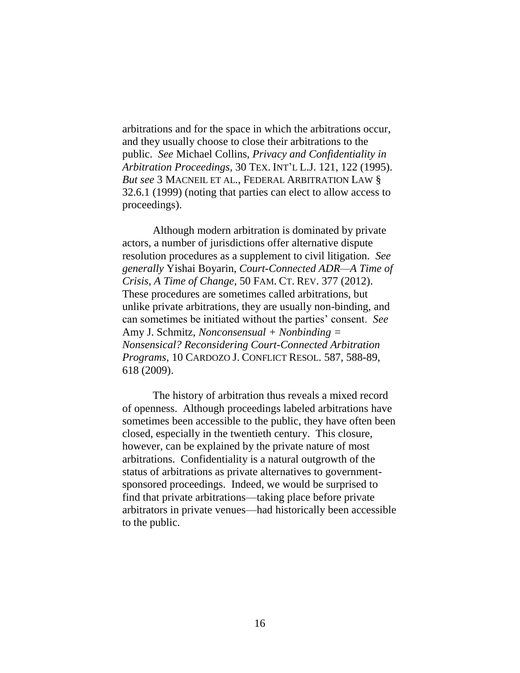arbitrations and for the space in which the arbitrations occur, and they usually choose to close their arbitrations to the public. *See* Michael Collins, *Privacy and Confidentiality in Arbitration Proceedings*, 30 TEX. INT'L L.J. 121, 122 (1995). *But see* 3 MACNEIL ET AL., FEDERAL ARBITRATION LAW § 32.6.1 (1999) (noting that parties can elect to allow access to proceedings).

Although modern arbitration is dominated by private actors, a number of jurisdictions offer alternative dispute resolution procedures as a supplement to civil litigation. *See generally* Yishai Boyarin, *Court-Connected ADR—A Time of Crisis, A Time of Change*, 50 FAM. CT. REV. 377 (2012). These procedures are sometimes called arbitrations, but unlike private arbitrations, they are usually non-binding, and can sometimes be initiated without the parties' consent. *See* Amy J. Schmitz, *Nonconsensual + Nonbinding = Nonsensical? Reconsidering Court-Connected Arbitration Programs*, 10 CARDOZO J. CONFLICT RESOL. 587, 588-89, 618 (2009).

The history of arbitration thus reveals a mixed record of openness. Although proceedings labeled arbitrations have sometimes been accessible to the public, they have often been closed, especially in the twentieth century. This closure, however, can be explained by the private nature of most arbitrations. Confidentiality is a natural outgrowth of the status of arbitrations as private alternatives to governmentsponsored proceedings. Indeed, we would be surprised to find that private arbitrations—taking place before private arbitrators in private venues—had historically been accessible to the public.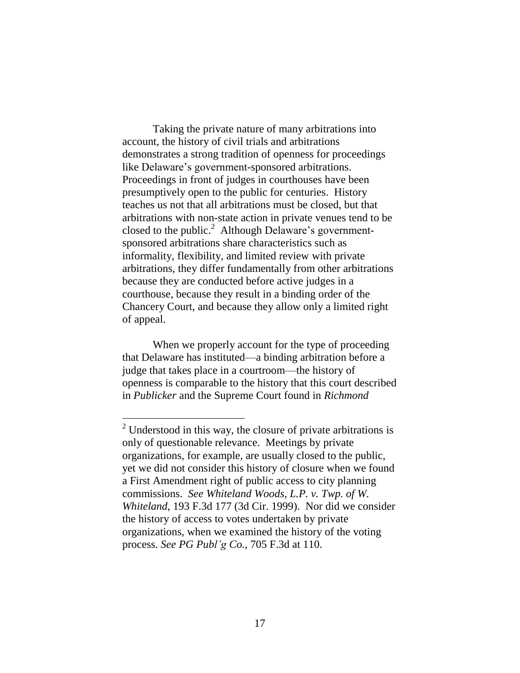Taking the private nature of many arbitrations into account, the history of civil trials and arbitrations demonstrates a strong tradition of openness for proceedings like Delaware's government-sponsored arbitrations. Proceedings in front of judges in courthouses have been presumptively open to the public for centuries. History teaches us not that all arbitrations must be closed, but that arbitrations with non-state action in private venues tend to be closed to the public.<sup>2</sup> Although Delaware's governmentsponsored arbitrations share characteristics such as informality, flexibility, and limited review with private arbitrations, they differ fundamentally from other arbitrations because they are conducted before active judges in a courthouse, because they result in a binding order of the Chancery Court, and because they allow only a limited right of appeal.

When we properly account for the type of proceeding that Delaware has instituted—a binding arbitration before a judge that takes place in a courtroom—the history of openness is comparable to the history that this court described in *Publicker* and the Supreme Court found in *Richmond*

 $\overline{a}$ 

 $2$  Understood in this way, the closure of private arbitrations is only of questionable relevance. Meetings by private organizations, for example, are usually closed to the public, yet we did not consider this history of closure when we found a First Amendment right of public access to city planning commissions. *See Whiteland Woods, L.P. v. Twp. of W. Whiteland*, 193 F.3d 177 (3d Cir. 1999). Nor did we consider the history of access to votes undertaken by private organizations, when we examined the history of the voting process. *See PG Publ'g Co.*, 705 F.3d at 110.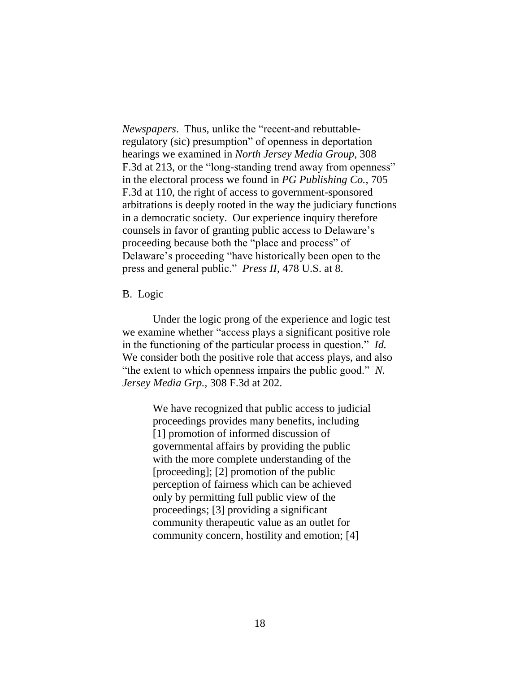*Newspapers*. Thus, unlike the "recent-and rebuttableregulatory (sic) presumption" of openness in deportation hearings we examined in *North Jersey Media Group*, 308 F.3d at 213, or the "long-standing trend away from openness" in the electoral process we found in *PG Publishing Co.*, 705 F.3d at 110, the right of access to government-sponsored arbitrations is deeply rooted in the way the judiciary functions in a democratic society. Our experience inquiry therefore counsels in favor of granting public access to Delaware's proceeding because both the "place and process" of Delaware's proceeding "have historically been open to the press and general public." *Press II*, 478 U.S. at 8.

### B. Logic

Under the logic prong of the experience and logic test we examine whether "access plays a significant positive role in the functioning of the particular process in question." *Id.* We consider both the positive role that access plays, and also "the extent to which openness impairs the public good." *N. Jersey Media Grp.*, 308 F.3d at 202.

> We have recognized that public access to judicial proceedings provides many benefits, including [1] promotion of informed discussion of governmental affairs by providing the public with the more complete understanding of the [proceeding]; [2] promotion of the public perception of fairness which can be achieved only by permitting full public view of the proceedings; [3] providing a significant community therapeutic value as an outlet for community concern, hostility and emotion; [4]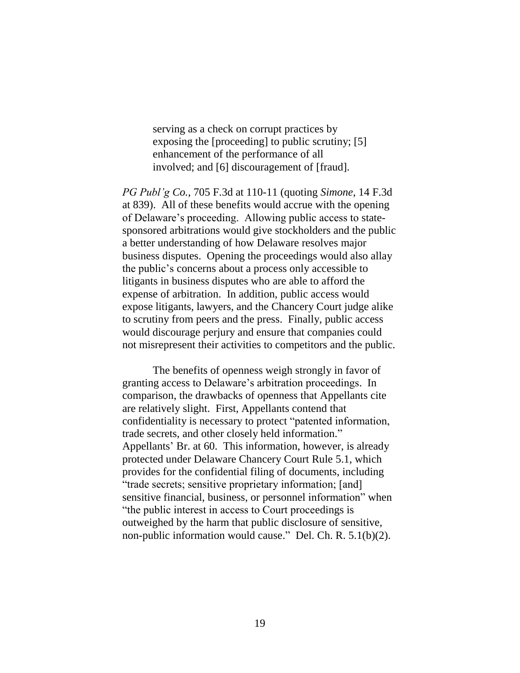serving as a check on corrupt practices by exposing the [proceeding] to public scrutiny; [5] enhancement of the performance of all involved; and [6] discouragement of [fraud].

*PG Publ'g Co.*, 705 F.3d at 110-11 (quoting *Simone*, 14 F.3d at 839). All of these benefits would accrue with the opening of Delaware's proceeding. Allowing public access to statesponsored arbitrations would give stockholders and the public a better understanding of how Delaware resolves major business disputes. Opening the proceedings would also allay the public's concerns about a process only accessible to litigants in business disputes who are able to afford the expense of arbitration. In addition, public access would expose litigants, lawyers, and the Chancery Court judge alike to scrutiny from peers and the press. Finally, public access would discourage perjury and ensure that companies could not misrepresent their activities to competitors and the public.

The benefits of openness weigh strongly in favor of granting access to Delaware's arbitration proceedings. In comparison, the drawbacks of openness that Appellants cite are relatively slight. First, Appellants contend that confidentiality is necessary to protect "patented information, trade secrets, and other closely held information." Appellants' Br. at 60. This information, however, is already protected under Delaware Chancery Court Rule 5.1, which provides for the confidential filing of documents, including "trade secrets; sensitive proprietary information; [and] sensitive financial, business, or personnel information" when "the public interest in access to Court proceedings is outweighed by the harm that public disclosure of sensitive, non-public information would cause." Del. Ch. R. 5.1(b)(2).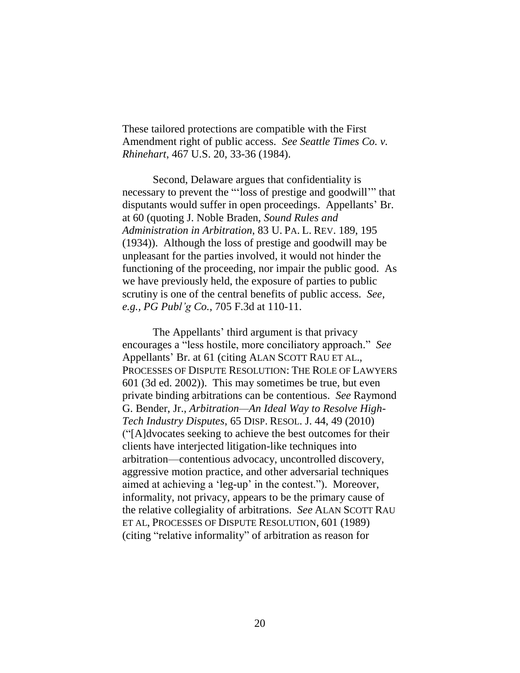These tailored protections are compatible with the First Amendment right of public access. *See Seattle Times Co. v. Rhinehart*, 467 U.S. 20, 33-36 (1984).

Second, Delaware argues that confidentiality is necessary to prevent the "'loss of prestige and goodwill'" that disputants would suffer in open proceedings. Appellants' Br. at 60 (quoting J. Noble Braden, *Sound Rules and Administration in Arbitration*, 83 U. PA. L. REV. 189, 195 (1934)). Although the loss of prestige and goodwill may be unpleasant for the parties involved, it would not hinder the functioning of the proceeding, nor impair the public good. As we have previously held, the exposure of parties to public scrutiny is one of the central benefits of public access. *See, e.g., PG Publ'g Co.*, 705 F.3d at 110-11.

The Appellants' third argument is that privacy encourages a "less hostile, more conciliatory approach." *See* Appellants' Br. at 61 (citing ALAN SCOTT RAU ET AL., PROCESSES OF DISPUTE RESOLUTION: THE ROLE OF LAWYERS 601 (3d ed. 2002)). This may sometimes be true, but even private binding arbitrations can be contentious. *See* Raymond G. Bender, Jr., *Arbitration—An Ideal Way to Resolve High-Tech Industry Disputes*, 65 DISP. RESOL. J. 44, 49 (2010) ("[A]dvocates seeking to achieve the best outcomes for their clients have interjected litigation-like techniques into arbitration—contentious advocacy, uncontrolled discovery, aggressive motion practice, and other adversarial techniques aimed at achieving a 'leg-up' in the contest."). Moreover, informality, not privacy, appears to be the primary cause of the relative collegiality of arbitrations. *See* ALAN SCOTT RAU ET AL, PROCESSES OF DISPUTE RESOLUTION, 601 (1989) (citing "relative informality" of arbitration as reason for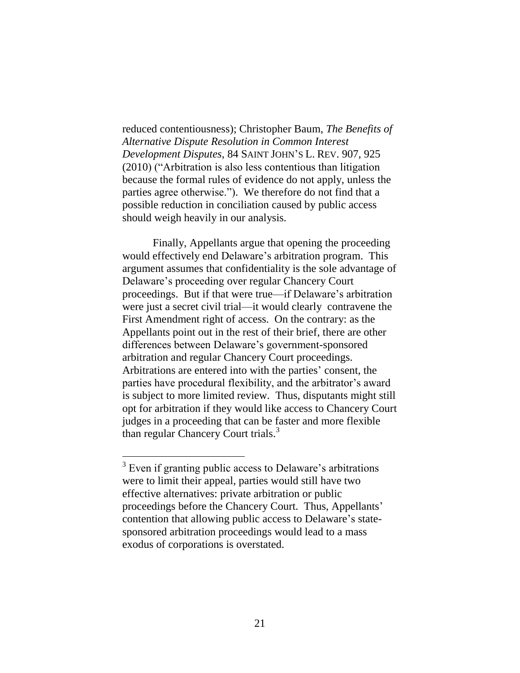reduced contentiousness); Christopher Baum, *The Benefits of Alternative Dispute Resolution in Common Interest Development Disputes*, 84 SAINT JOHN'S L. REV. 907, 925 (2010) ("Arbitration is also less contentious than litigation because the formal rules of evidence do not apply, unless the parties agree otherwise."). We therefore do not find that a possible reduction in conciliation caused by public access should weigh heavily in our analysis.

Finally, Appellants argue that opening the proceeding would effectively end Delaware's arbitration program. This argument assumes that confidentiality is the sole advantage of Delaware's proceeding over regular Chancery Court proceedings. But if that were true—if Delaware's arbitration were just a secret civil trial—it would clearly contravene the First Amendment right of access. On the contrary: as the Appellants point out in the rest of their brief, there are other differences between Delaware's government-sponsored arbitration and regular Chancery Court proceedings. Arbitrations are entered into with the parties' consent, the parties have procedural flexibility, and the arbitrator's award is subject to more limited review. Thus, disputants might still opt for arbitration if they would like access to Chancery Court judges in a proceeding that can be faster and more flexible than regular Chancery Court trials.<sup>3</sup>

<sup>&</sup>lt;sup>3</sup> Even if granting public access to Delaware's arbitrations were to limit their appeal, parties would still have two effective alternatives: private arbitration or public proceedings before the Chancery Court. Thus, Appellants' contention that allowing public access to Delaware's statesponsored arbitration proceedings would lead to a mass exodus of corporations is overstated.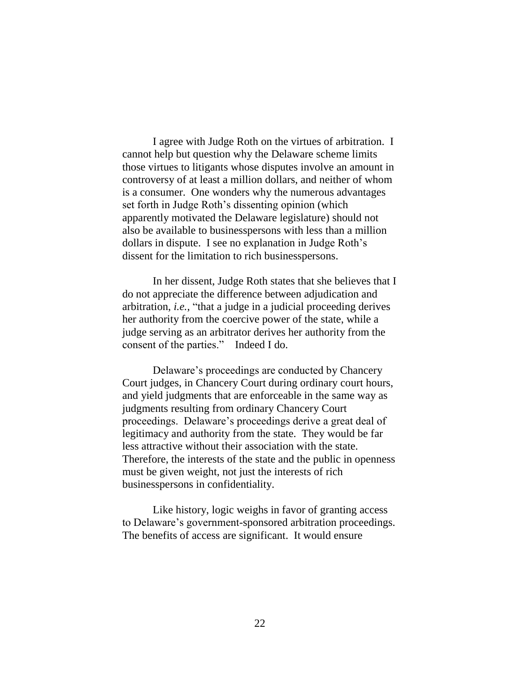I agree with Judge Roth on the virtues of arbitration. I cannot help but question why the Delaware scheme limits those virtues to litigants whose disputes involve an amount in controversy of at least a million dollars, and neither of whom is a consumer. One wonders why the numerous advantages set forth in Judge Roth's dissenting opinion (which apparently motivated the Delaware legislature) should not also be available to businesspersons with less than a million dollars in dispute. I see no explanation in Judge Roth's dissent for the limitation to rich businesspersons.

In her dissent, Judge Roth states that she believes that I do not appreciate the difference between adjudication and arbitration, *i.e.*, "that a judge in a judicial proceeding derives her authority from the coercive power of the state, while a judge serving as an arbitrator derives her authority from the consent of the parties." Indeed I do.

Delaware's proceedings are conducted by Chancery Court judges, in Chancery Court during ordinary court hours, and yield judgments that are enforceable in the same way as judgments resulting from ordinary Chancery Court proceedings. Delaware's proceedings derive a great deal of legitimacy and authority from the state. They would be far less attractive without their association with the state. Therefore, the interests of the state and the public in openness must be given weight, not just the interests of rich businesspersons in confidentiality.

Like history, logic weighs in favor of granting access to Delaware's government-sponsored arbitration proceedings. The benefits of access are significant. It would ensure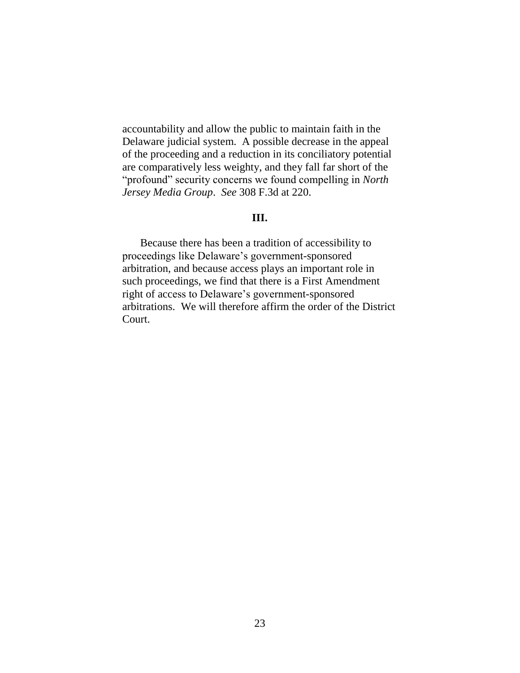accountability and allow the public to maintain faith in the Delaware judicial system. A possible decrease in the appeal of the proceeding and a reduction in its conciliatory potential are comparatively less weighty, and they fall far short of the "profound" security concerns we found compelling in *North Jersey Media Group*. *See* 308 F.3d at 220.

### **III.**

Because there has been a tradition of accessibility to proceedings like Delaware's government-sponsored arbitration, and because access plays an important role in such proceedings, we find that there is a First Amendment right of access to Delaware's government-sponsored arbitrations. We will therefore affirm the order of the District Court.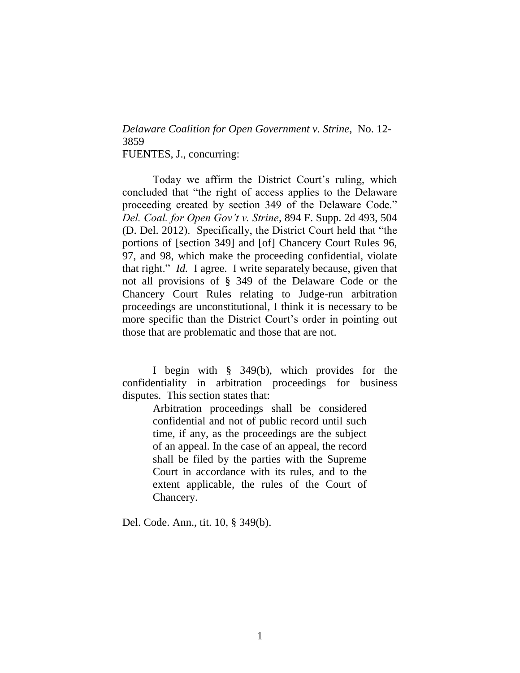# *Delaware Coalition for Open Government v. Strine*, No. 12- 3859 FUENTES, J., concurring:

Today we affirm the District Court's ruling, which concluded that "the right of access applies to the Delaware proceeding created by section 349 of the Delaware Code." *Del. Coal. for Open Gov't v. Strine*, 894 F. Supp. 2d 493, 504 (D. Del. 2012). Specifically, the District Court held that "the portions of [section 349] and [of] Chancery Court Rules 96, 97, and 98, which make the proceeding confidential, violate that right." *Id.* I agree. I write separately because, given that not all provisions of § 349 of the Delaware Code or the Chancery Court Rules relating to Judge-run arbitration proceedings are unconstitutional, I think it is necessary to be more specific than the District Court's order in pointing out those that are problematic and those that are not.

I begin with § 349(b), which provides for the confidentiality in arbitration proceedings for business disputes. This section states that:

> Arbitration proceedings shall be considered confidential and not of public record until such time, if any, as the proceedings are the subject of an appeal. In the case of an appeal, the record shall be filed by the parties with the Supreme Court in accordance with its rules, and to the extent applicable, the rules of the Court of Chancery.

Del. Code. Ann., tit. 10, § 349(b).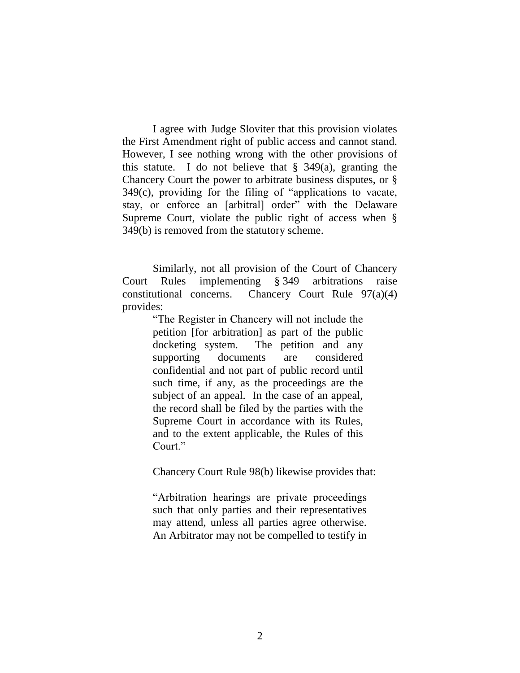I agree with Judge Sloviter that this provision violates the First Amendment right of public access and cannot stand. However, I see nothing wrong with the other provisions of this statute. I do not believe that  $\S$  349(a), granting the Chancery Court the power to arbitrate business disputes, or § 349(c), providing for the filing of "applications to vacate, stay, or enforce an [arbitral] order" with the Delaware Supreme Court, violate the public right of access when § 349(b) is removed from the statutory scheme.

Similarly, not all provision of the Court of Chancery Court Rules implementing § 349 arbitrations raise constitutional concerns. Chancery Court Rule 97(a)(4) provides:

> "The Register in Chancery will not include the petition [for arbitration] as part of the public docketing system. The petition and any supporting documents are considered confidential and not part of public record until such time, if any, as the proceedings are the subject of an appeal. In the case of an appeal, the record shall be filed by the parties with the Supreme Court in accordance with its Rules, and to the extent applicable, the Rules of this Court."

Chancery Court Rule 98(b) likewise provides that:

"Arbitration hearings are private proceedings such that only parties and their representatives may attend, unless all parties agree otherwise. An Arbitrator may not be compelled to testify in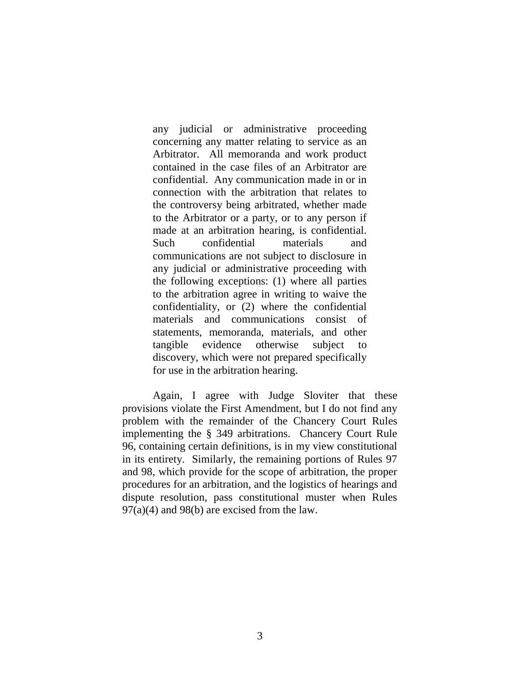any judicial or administrative proceeding concerning any matter relating to service as an Arbitrator. All memoranda and work product contained in the case files of an Arbitrator are confidential. Any communication made in or in connection with the arbitration that relates to the controversy being arbitrated, whether made to the Arbitrator or a party, or to any person if made at an arbitration hearing, is confidential. Such confidential materials and communications are not subject to disclosure in any judicial or administrative proceeding with the following exceptions: (1) where all parties to the arbitration agree in writing to waive the confidentiality, or (2) where the confidential materials and communications consist of statements, memoranda, materials, and other tangible evidence otherwise subject to discovery, which were not prepared specifically for use in the arbitration hearing.

Again, I agree with Judge Sloviter that these provisions violate the First Amendment, but I do not find any problem with the remainder of the Chancery Court Rules implementing the § 349 arbitrations. Chancery Court Rule 96, containing certain definitions, is in my view constitutional in its entirety. Similarly, the remaining portions of Rules 97 and 98, which provide for the scope of arbitration, the proper procedures for an arbitration, and the logistics of hearings and dispute resolution, pass constitutional muster when Rules  $97(a)(4)$  and  $98(b)$  are excised from the law.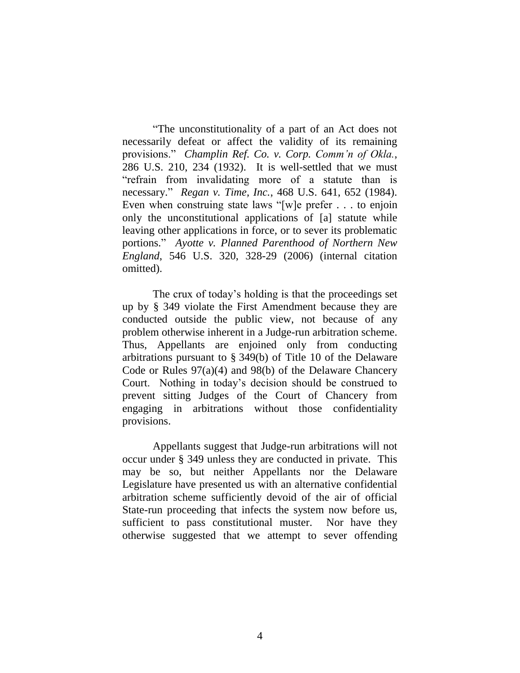"The unconstitutionality of a part of an Act does not necessarily defeat or affect the validity of its remaining provisions." *Champlin Ref. Co. v. Corp. Comm'n of Okla.*, 286 U.S. 210, 234 (1932). It is well-settled that we must "refrain from invalidating more of a statute than is necessary." *Regan v. Time, Inc.*, 468 U.S. 641, 652 (1984). Even when construing state laws "[w]e prefer . . . to enjoin only the unconstitutional applications of [a] statute while leaving other applications in force, or to sever its problematic portions." *Ayotte v. Planned Parenthood of Northern New England*, 546 U.S. 320, 328-29 (2006) (internal citation omitted).

The crux of today's holding is that the proceedings set up by § 349 violate the First Amendment because they are conducted outside the public view, not because of any problem otherwise inherent in a Judge-run arbitration scheme. Thus, Appellants are enjoined only from conducting arbitrations pursuant to § 349(b) of Title 10 of the Delaware Code or Rules 97(a)(4) and 98(b) of the Delaware Chancery Court. Nothing in today's decision should be construed to prevent sitting Judges of the Court of Chancery from engaging in arbitrations without those confidentiality provisions.

Appellants suggest that Judge-run arbitrations will not occur under § 349 unless they are conducted in private. This may be so, but neither Appellants nor the Delaware Legislature have presented us with an alternative confidential arbitration scheme sufficiently devoid of the air of official State-run proceeding that infects the system now before us, sufficient to pass constitutional muster. Nor have they otherwise suggested that we attempt to sever offending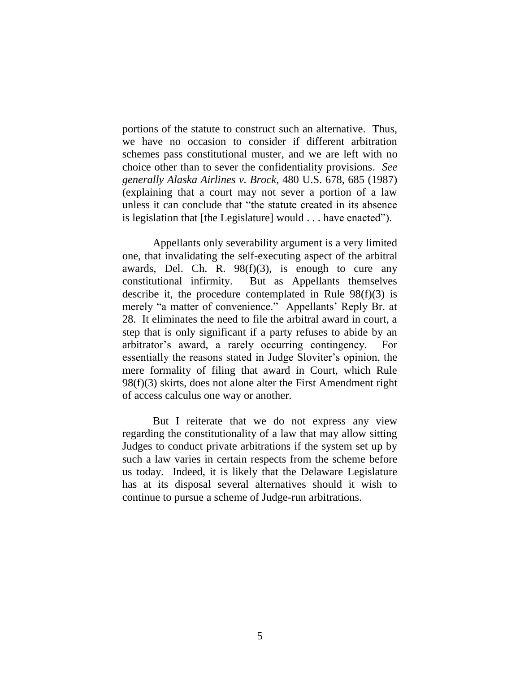portions of the statute to construct such an alternative. Thus, we have no occasion to consider if different arbitration schemes pass constitutional muster, and we are left with no choice other than to sever the confidentiality provisions. *See generally Alaska Airlines v. Brock*, 480 U.S. 678, 685 (1987) (explaining that a court may not sever a portion of a law unless it can conclude that "the statute created in its absence is legislation that [the Legislature] would . . . have enacted").

Appellants only severability argument is a very limited one, that invalidating the self-executing aspect of the arbitral awards, Del. Ch. R.  $98(f)(3)$ , is enough to cure any constitutional infirmity. But as Appellants themselves describe it, the procedure contemplated in Rule  $98(f)(3)$  is merely "a matter of convenience." Appellants' Reply Br. at 28. It eliminates the need to file the arbitral award in court, a step that is only significant if a party refuses to abide by an arbitrator's award, a rarely occurring contingency. For essentially the reasons stated in Judge Sloviter's opinion, the mere formality of filing that award in Court, which Rule 98(f)(3) skirts, does not alone alter the First Amendment right of access calculus one way or another.

But I reiterate that we do not express any view regarding the constitutionality of a law that may allow sitting Judges to conduct private arbitrations if the system set up by such a law varies in certain respects from the scheme before us today. Indeed, it is likely that the Delaware Legislature has at its disposal several alternatives should it wish to continue to pursue a scheme of Judge-run arbitrations.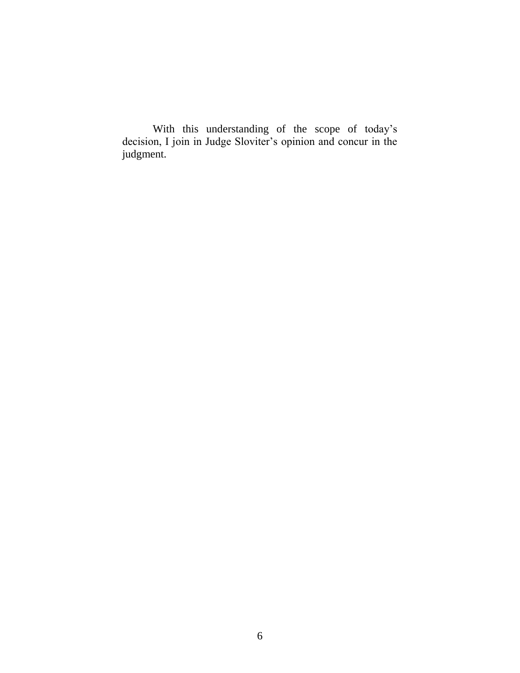With this understanding of the scope of today's decision, I join in Judge Sloviter's opinion and concur in the judgment.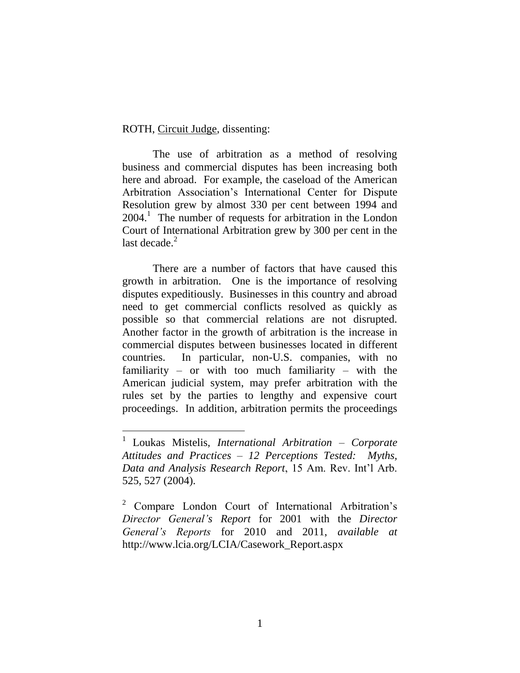ROTH, Circuit Judge, dissenting:

 $\overline{a}$ 

The use of arbitration as a method of resolving business and commercial disputes has been increasing both here and abroad. For example, the caseload of the American Arbitration Association's International Center for Dispute Resolution grew by almost 330 per cent between 1994 and  $2004<sup>1</sup>$  The number of requests for arbitration in the London Court of International Arbitration grew by 300 per cent in the last decade. $<sup>2</sup>$ </sup>

There are a number of factors that have caused this growth in arbitration. One is the importance of resolving disputes expeditiously. Businesses in this country and abroad need to get commercial conflicts resolved as quickly as possible so that commercial relations are not disrupted. Another factor in the growth of arbitration is the increase in commercial disputes between businesses located in different countries. In particular, non-U.S. companies, with no familiarity – or with too much familiarity – with the American judicial system, may prefer arbitration with the rules set by the parties to lengthy and expensive court proceedings. In addition, arbitration permits the proceedings

<sup>1</sup> Loukas Mistelis, *International Arbitration – Corporate Attitudes and Practices – 12 Perceptions Tested: Myths, Data and Analysis Research Report*, 15 Am. Rev. Int'l Arb. 525, 527 (2004).

<sup>2</sup> Compare London Court of International Arbitration's *Director General's Report* for 2001 with the *Director General's Reports* for 2010 and 2011, *available at*  http://www.lcia.org/LCIA/Casework\_Report.aspx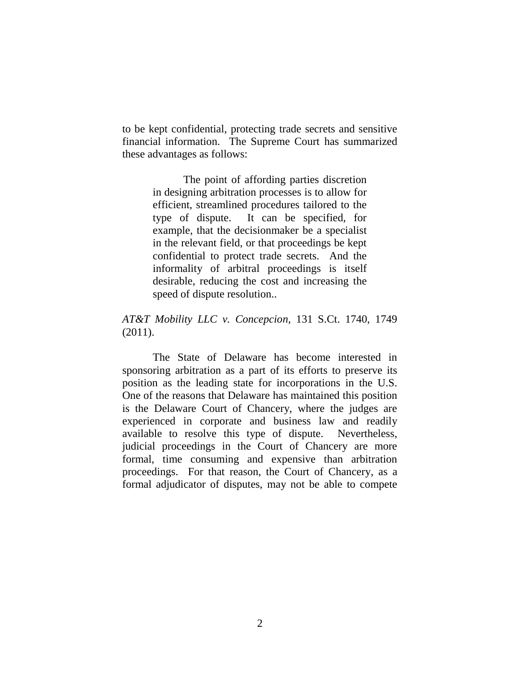to be kept confidential, protecting trade secrets and sensitive financial information. The Supreme Court has summarized these advantages as follows:

> The point of affording parties discretion in designing arbitration processes is to allow for efficient, streamlined procedures tailored to the type of dispute. It can be specified, for example, that the decisionmaker be a specialist in the relevant field, or that proceedings be kept confidential to protect trade secrets. And the informality of arbitral proceedings is itself desirable, reducing the cost and increasing the speed of dispute resolution..

# *AT&T Mobility LLC v. Concepcion*, 131 S.Ct. 1740, 1749 (2011).

The State of Delaware has become interested in sponsoring arbitration as a part of its efforts to preserve its position as the leading state for incorporations in the U.S. One of the reasons that Delaware has maintained this position is the Delaware Court of Chancery, where the judges are experienced in corporate and business law and readily available to resolve this type of dispute. Nevertheless, judicial proceedings in the Court of Chancery are more formal, time consuming and expensive than arbitration proceedings. For that reason, the Court of Chancery, as a formal adjudicator of disputes, may not be able to compete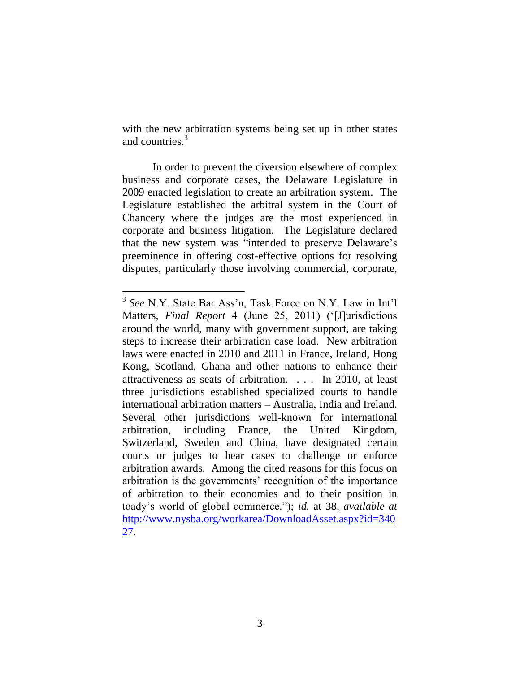with the new arbitration systems being set up in other states and countries.<sup>3</sup>

In order to prevent the diversion elsewhere of complex business and corporate cases, the Delaware Legislature in 2009 enacted legislation to create an arbitration system. The Legislature established the arbitral system in the Court of Chancery where the judges are the most experienced in corporate and business litigation. The Legislature declared that the new system was "intended to preserve Delaware's preeminence in offering cost-effective options for resolving disputes, particularly those involving commercial, corporate,

<sup>3</sup> *See* N.Y. State Bar Ass'n, Task Force on N.Y. Law in Int'l Matters, *Final Report* 4 (June 25, 2011) ('[J]urisdictions around the world, many with government support, are taking steps to increase their arbitration case load. New arbitration laws were enacted in 2010 and 2011 in France, Ireland, Hong Kong, Scotland, Ghana and other nations to enhance their attractiveness as seats of arbitration. . . . In 2010, at least three jurisdictions established specialized courts to handle international arbitration matters – Australia, India and Ireland. Several other jurisdictions well-known for international arbitration, including France, the United Kingdom, Switzerland, Sweden and China, have designated certain courts or judges to hear cases to challenge or enforce arbitration awards. Among the cited reasons for this focus on arbitration is the governments' recognition of the importance of arbitration to their economies and to their position in toady's world of global commerce."); *id.* at 38, *available at*  [http://www.nysba.org/workarea/DownloadAsset.aspx?id=340](http://www.nysba.org/workarea/DownloadAsset.aspx?id=34027) [27.](http://www.nysba.org/workarea/DownloadAsset.aspx?id=34027)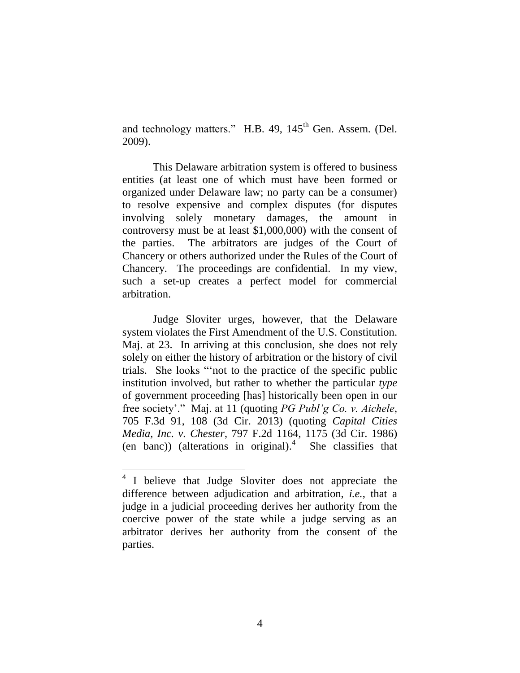and technology matters." H.B. 49, 145<sup>th</sup> Gen. Assem. (Del. 2009).

This Delaware arbitration system is offered to business entities (at least one of which must have been formed or organized under Delaware law; no party can be a consumer) to resolve expensive and complex disputes (for disputes involving solely monetary damages, the amount in controversy must be at least \$1,000,000) with the consent of the parties. The arbitrators are judges of the Court of Chancery or others authorized under the Rules of the Court of Chancery. The proceedings are confidential. In my view, such a set-up creates a perfect model for commercial arbitration.

Judge Sloviter urges, however, that the Delaware system violates the First Amendment of the U.S. Constitution. Maj. at 23. In arriving at this conclusion, she does not rely solely on either the history of arbitration or the history of civil trials. She looks "'not to the practice of the specific public institution involved, but rather to whether the particular *type*  of government proceeding [has] historically been open in our free society'." Maj. at 11 (quoting *PG Publ'g Co. v. Aichele*, 705 F.3d 91, 108 (3d Cir. 2013) (quoting *Capital Cities Media, Inc. v. Chester*, 797 F.2d 1164, 1175 (3d Cir. 1986) (en banc)) (alterations in original). 4 She classifies that

<sup>&</sup>lt;sup>4</sup> I believe that Judge Sloviter does not appreciate the difference between adjudication and arbitration, *i.e.*, that a judge in a judicial proceeding derives her authority from the coercive power of the state while a judge serving as an arbitrator derives her authority from the consent of the parties.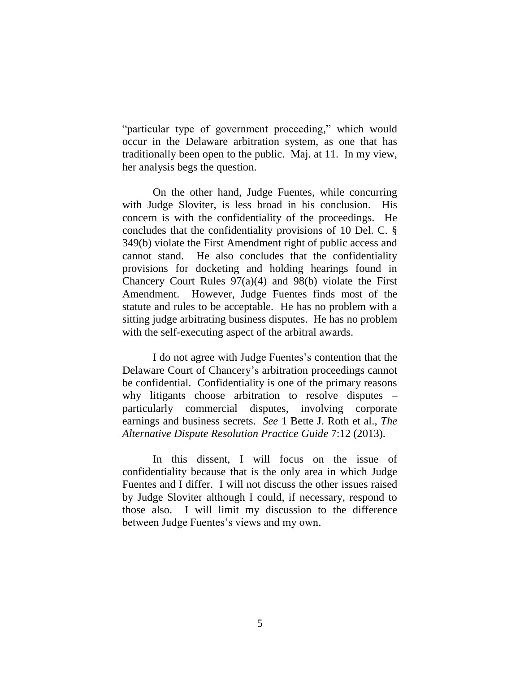"particular type of government proceeding," which would occur in the Delaware arbitration system, as one that has traditionally been open to the public. Maj. at 11. In my view, her analysis begs the question.

On the other hand, Judge Fuentes, while concurring with Judge Sloviter, is less broad in his conclusion. His concern is with the confidentiality of the proceedings. He concludes that the confidentiality provisions of 10 Del. C. § 349(b) violate the First Amendment right of public access and cannot stand. He also concludes that the confidentiality provisions for docketing and holding hearings found in Chancery Court Rules  $97(a)(4)$  and  $98(b)$  violate the First Amendment. However, Judge Fuentes finds most of the statute and rules to be acceptable. He has no problem with a sitting judge arbitrating business disputes. He has no problem with the self-executing aspect of the arbitral awards.

I do not agree with Judge Fuentes's contention that the Delaware Court of Chancery's arbitration proceedings cannot be confidential. Confidentiality is one of the primary reasons why litigants choose arbitration to resolve disputes – particularly commercial disputes, involving corporate earnings and business secrets. *See* 1 Bette J. Roth et al., *The Alternative Dispute Resolution Practice Guide* 7:12 (2013).

In this dissent, I will focus on the issue of confidentiality because that is the only area in which Judge Fuentes and I differ. I will not discuss the other issues raised by Judge Sloviter although I could, if necessary, respond to those also. I will limit my discussion to the difference between Judge Fuentes's views and my own.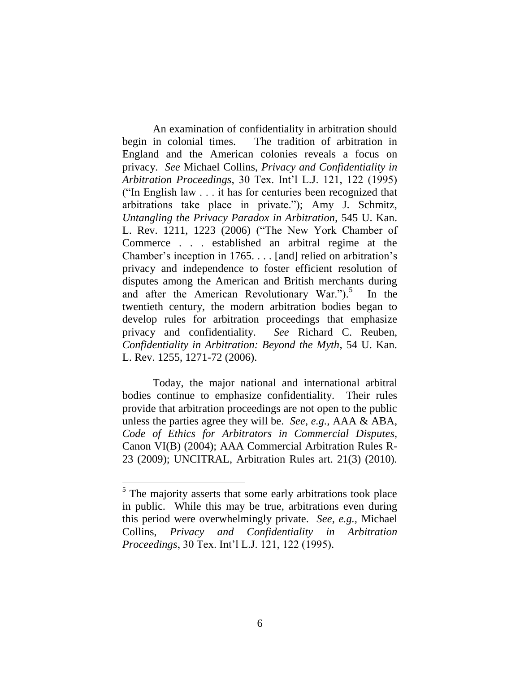An examination of confidentiality in arbitration should begin in colonial times. The tradition of arbitration in England and the American colonies reveals a focus on privacy. *See* Michael Collins, *Privacy and Confidentiality in Arbitration Proceedings*, 30 Tex. Int'l L.J. 121, 122 (1995) ("In English law . . . it has for centuries been recognized that arbitrations take place in private."); Amy J. Schmitz, *Untangling the Privacy Paradox in Arbitration*, 545 U. Kan. L. Rev. 1211, 1223 (2006) ("The New York Chamber of Commerce . . . established an arbitral regime at the Chamber's inception in 1765. . . . [and] relied on arbitration's privacy and independence to foster efficient resolution of disputes among the American and British merchants during and after the American Revolutionary War."). 5 In the twentieth century, the modern arbitration bodies began to develop rules for arbitration proceedings that emphasize privacy and confidentiality. *See* Richard C. Reuben, *Confidentiality in Arbitration: Beyond the Myth*, 54 U. Kan. L. Rev. 1255, 1271-72 (2006).

Today, the major national and international arbitral bodies continue to emphasize confidentiality. Their rules provide that arbitration proceedings are not open to the public unless the parties agree they will be. *See, e.g.,* AAA & ABA, *Code of Ethics for Arbitrators in Commercial Disputes*, Canon VI(B) (2004); AAA Commercial Arbitration Rules R-23 (2009); UNCITRAL, Arbitration Rules art. 21(3) (2010).

<sup>&</sup>lt;sup>5</sup> The majority asserts that some early arbitrations took place in public. While this may be true, arbitrations even during this period were overwhelmingly private. *See, e.g.,* Michael Collins, *Privacy and Confidentiality in Arbitration Proceedings*, 30 Tex. Int'l L.J. 121, 122 (1995).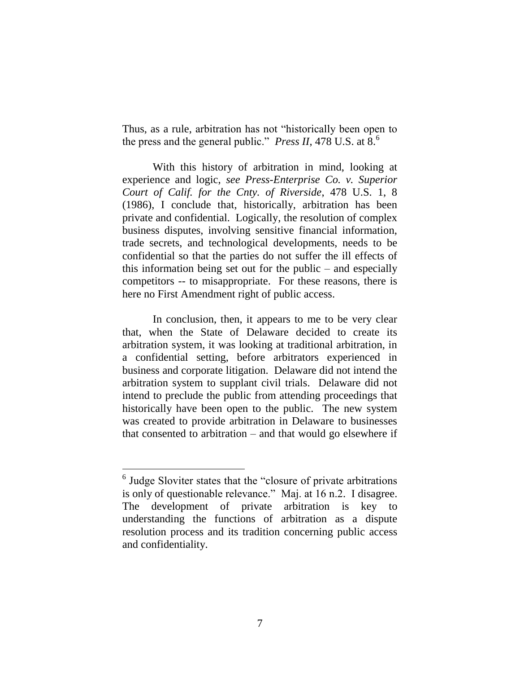Thus, as a rule, arbitration has not "historically been open to the press and the general public." *Press II*, 478 U.S. at  $\hat{8}$ .<sup>6</sup>

With this history of arbitration in mind, looking at experience and logic, *see Press-Enterprise Co. v. Superior Court of Calif. for the Cnty. of Riverside*, 478 U.S. 1, 8 (1986), I conclude that, historically, arbitration has been private and confidential. Logically, the resolution of complex business disputes, involving sensitive financial information, trade secrets, and technological developments, needs to be confidential so that the parties do not suffer the ill effects of this information being set out for the public – and especially competitors -- to misappropriate. For these reasons, there is here no First Amendment right of public access.

In conclusion, then, it appears to me to be very clear that, when the State of Delaware decided to create its arbitration system, it was looking at traditional arbitration, in a confidential setting, before arbitrators experienced in business and corporate litigation. Delaware did not intend the arbitration system to supplant civil trials. Delaware did not intend to preclude the public from attending proceedings that historically have been open to the public. The new system was created to provide arbitration in Delaware to businesses that consented to arbitration – and that would go elsewhere if

<sup>&</sup>lt;sup>6</sup> Judge Sloviter states that the "closure of private arbitrations" is only of questionable relevance." Maj. at 16 n.2. I disagree. The development of private arbitration is key to understanding the functions of arbitration as a dispute resolution process and its tradition concerning public access and confidentiality.